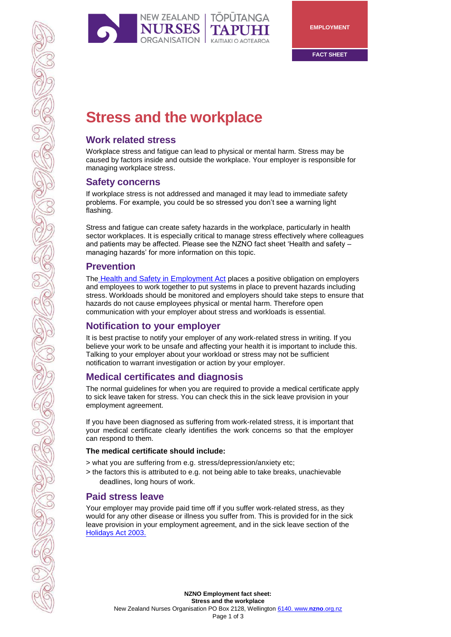

# **Stress and the workplace**

# **Work related stress**

Workplace stress and fatigue can lead to physical or mental harm. Stress may be caused by factors inside and outside the workplace. Your employer is responsible for managing workplace stress.

## **Safety concerns**

If workplace stress is not addressed and managed it may lead to immediate safety problems. For example, you could be so stressed you don't see a warning light flashing.

Stress and fatigue can create safety hazards in the workplace, particularly in health sector workplaces. It is especially critical to manage stress effectively where colleagues and patients may be affected. Please see the NZNO fact sheet 'Health and safety – managing hazards' for more information on this topic.

## **Prevention**

The Health and Safety in Employment Act places a positive obligation on employers and employees to work together to put systems in place to prevent hazards including stress. Workloads should be monitored and employers should take steps to ensure that hazards do not cause employees physical or mental harm. Therefore open communication with your employer about stress and workloads is essential.

# **Notification to your employer**

It is best practise to notify your employer of any work-related stress in writing. If you believe your work to be unsafe and affecting your health it is important to include this. Talking to your employer about your workload or stress may not be sufficient notification to warrant investigation or action by your employer.

# **Medical certificates and diagnosis**

The normal guidelines for when you are required to provide a medical certificate apply to sick leave taken for stress. You can check this in the sick leave provision in your employment agreement.

If you have been diagnosed as suffering from work-related stress, it is important that your medical certificate clearly identifies the work concerns so that the employer can respond to them.

#### **The medical certificate should include:**

> what you are suffering from e.g. stress/depression/anxiety etc;

> the factors this is attributed to e.g. not being able to take breaks, unachievable deadlines, long hours of work.

# **Paid stress leave**

Your employer may provide paid time off if you suffer work-related stress, as they would for any other disease or illness you suffer from. This is provided for in the sick leave provision in your employment agreement, and in the sick leave section of the Holidays Act 2003.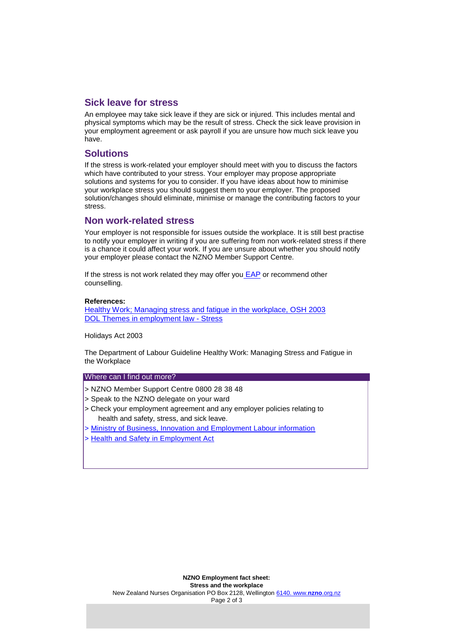#### **Sick leave for stress**

An employee may take sick leave if they are sick or injured. This includes mental and physical symptoms which may be the result of stress. Check the sick leave provision in your employment agreement or ask payroll if you are unsure how much sick leave you have.

#### **Solutions**

If the stress is work-related your employer should meet with you to discuss the factors which have contributed to your stress. Your employer may propose appropriate solutions and systems for you to consider. If you have ideas about how to minimise your workplace stress you should suggest them to your employer. The proposed solution/changes should eliminate, minimise or manage the contributing factors to your stress.

#### **Non work-related stress**

Your employer is not responsible for issues outside the workplace. It is still best practise to notify your employer in writing if you are suffering from non work-related stress if there is a chance it could affect your work. If you are unsure about whether you should notify your employer please contact the NZNO Member Support Centre.

If the stress is not work related they may offer you  $EAP$  or recommend other counselling.

#### **References:**

Healthy Work; Managing stress and fatigue in the workplace, OSH 2003 DOL Themes in employment law - Stress

Holidays Act 2003

The Department of Labour Guideline Healthy Work: Managing Stress and Fatigue in the Workplace

#### Where can I find out more?

- > NZNO Member Support Centre 0800 28 38 48
- > Speak to the NZNO delegate on your ward
- > Check your employment agreement and any employer policies relating to health and safety, stress, and sick leave.
- > Ministry of Business, Innovation and Employment Labour information
- > Health and Safety in Employment Act